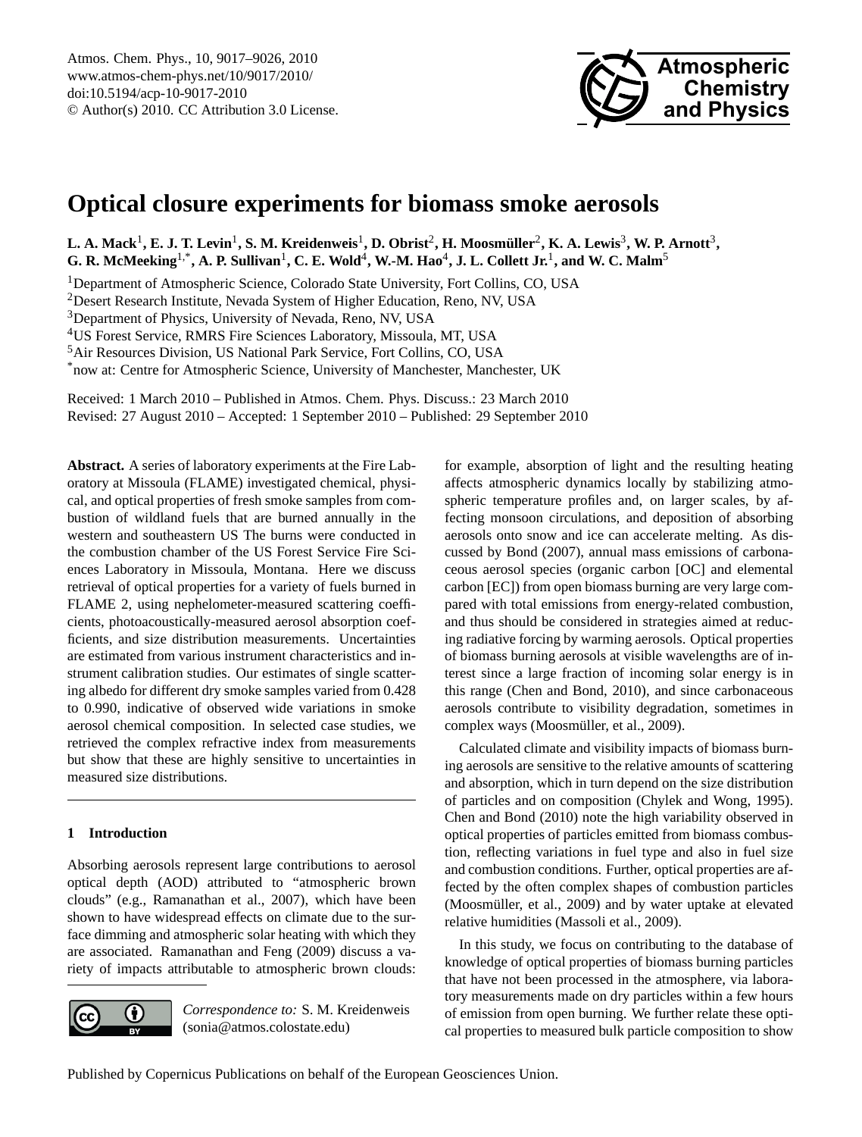

# <span id="page-0-0"></span>**Optical closure experiments for biomass smoke aerosols**

 $L$ . A. Mack<sup>1</sup>, E. J. T. Levin<sup>1</sup>, S. M. Kreidenweis<sup>1</sup>, D. Obrist<sup>2</sup>, H. Moosmüller<sup>2</sup>, K. A. Lewis<sup>3</sup>, W. P. Arnott<sup>3</sup>,  $G$ . R. McMeeking<sup>1,\*</sup>, A. P. Sullivan<sup>1</sup>, C. E. Wold<sup>4</sup>, W.-M. Hao<sup>4</sup>, J. L. Collett Jr.<sup>1</sup>, and W. C. Malm<sup>5</sup>

<sup>1</sup>Department of Atmospheric Science, Colorado State University, Fort Collins, CO, USA

<sup>2</sup>Desert Research Institute, Nevada System of Higher Education, Reno, NV, USA

<sup>3</sup>Department of Physics, University of Nevada, Reno, NV, USA

<sup>4</sup>US Forest Service, RMRS Fire Sciences Laboratory, Missoula, MT, USA

<sup>5</sup>Air Resources Division, US National Park Service, Fort Collins, CO, USA

\*now at: Centre for Atmospheric Science, University of Manchester, Manchester, UK

Received: 1 March 2010 – Published in Atmos. Chem. Phys. Discuss.: 23 March 2010 Revised: 27 August 2010 – Accepted: 1 September 2010 – Published: 29 September 2010

**Abstract.** A series of laboratory experiments at the Fire Laboratory at Missoula (FLAME) investigated chemical, physical, and optical properties of fresh smoke samples from combustion of wildland fuels that are burned annually in the western and southeastern US The burns were conducted in the combustion chamber of the US Forest Service Fire Sciences Laboratory in Missoula, Montana. Here we discuss retrieval of optical properties for a variety of fuels burned in FLAME 2, using nephelometer-measured scattering coefficients, photoacoustically-measured aerosol absorption coefficients, and size distribution measurements. Uncertainties are estimated from various instrument characteristics and instrument calibration studies. Our estimates of single scattering albedo for different dry smoke samples varied from 0.428 to 0.990, indicative of observed wide variations in smoke aerosol chemical composition. In selected case studies, we retrieved the complex refractive index from measurements but show that these are highly sensitive to uncertainties in measured size distributions.

# **1 Introduction**

Absorbing aerosols represent large contributions to aerosol optical depth (AOD) attributed to "atmospheric brown clouds" (e.g., Ramanathan et al., 2007), which have been shown to have widespread effects on climate due to the surface dimming and atmospheric solar heating with which they are associated. Ramanathan and Feng (2009) discuss a variety of impacts attributable to atmospheric brown clouds:



*Correspondence to:* S. M. Kreidenweis (sonia@atmos.colostate.edu)

for example, absorption of light and the resulting heating affects atmospheric dynamics locally by stabilizing atmospheric temperature profiles and, on larger scales, by affecting monsoon circulations, and deposition of absorbing aerosols onto snow and ice can accelerate melting. As discussed by Bond (2007), annual mass emissions of carbonaceous aerosol species (organic carbon [OC] and elemental carbon [EC]) from open biomass burning are very large compared with total emissions from energy-related combustion, and thus should be considered in strategies aimed at reducing radiative forcing by warming aerosols. Optical properties of biomass burning aerosols at visible wavelengths are of interest since a large fraction of incoming solar energy is in this range (Chen and Bond, 2010), and since carbonaceous aerosols contribute to visibility degradation, sometimes in complex ways (Moosmüller, et al., 2009).

Calculated climate and visibility impacts of biomass burning aerosols are sensitive to the relative amounts of scattering and absorption, which in turn depend on the size distribution of particles and on composition (Chylek and Wong, 1995). Chen and Bond (2010) note the high variability observed in optical properties of particles emitted from biomass combustion, reflecting variations in fuel type and also in fuel size and combustion conditions. Further, optical properties are affected by the often complex shapes of combustion particles (Moosmüller, et al., 2009) and by water uptake at elevated relative humidities (Massoli et al., 2009).

In this study, we focus on contributing to the database of knowledge of optical properties of biomass burning particles that have not been processed in the atmosphere, via laboratory measurements made on dry particles within a few hours of emission from open burning. We further relate these optical properties to measured bulk particle composition to show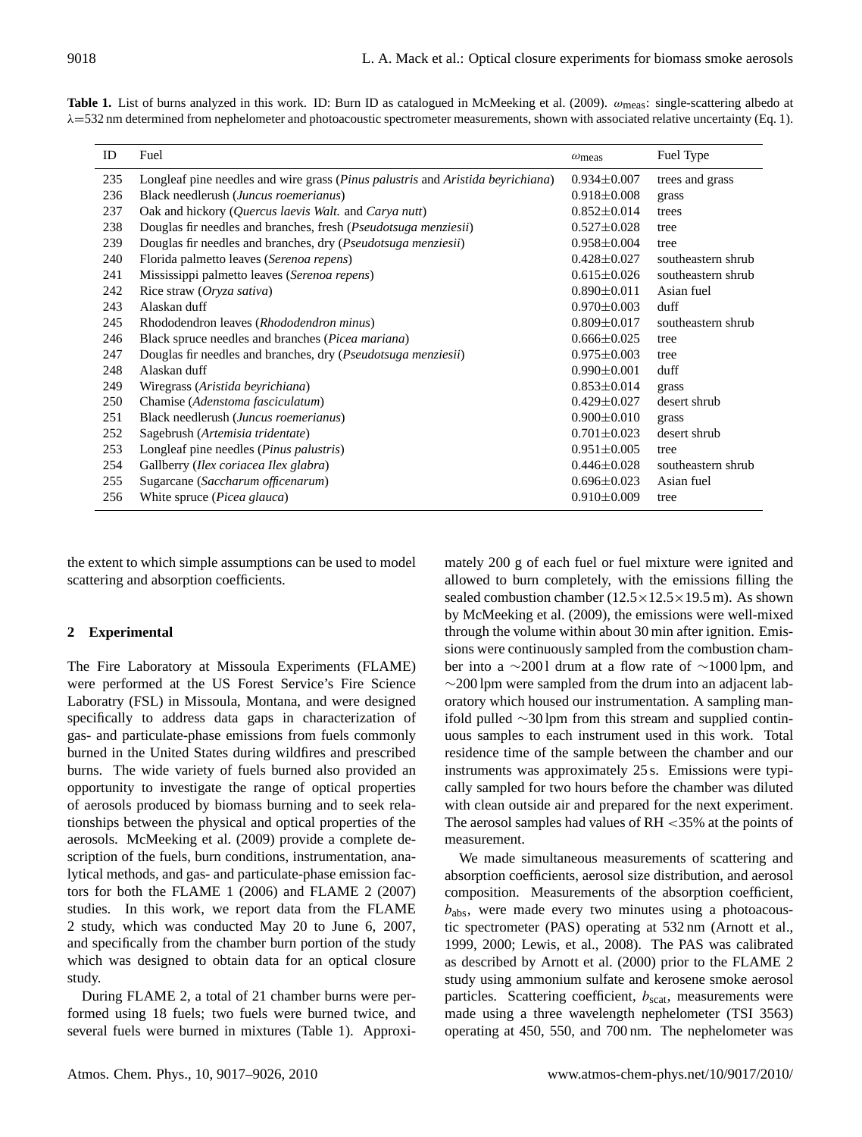| Table 1. List of burns analyzed in this work. ID: Burn ID as catalogued in McMeeking et al. (2009). $\omega_{\text{meas}}$ : single-scattering albedo at |  |  |  |
|----------------------------------------------------------------------------------------------------------------------------------------------------------|--|--|--|
| $\lambda$ =532 nm determined from nephelometer and photoacoustic spectrometer measurements, shown with associated relative uncertainty (Eq. 1).          |  |  |  |

| ID  | Fuel                                                                            | $\omega$ <sub>meas</sub> | Fuel Type          |
|-----|---------------------------------------------------------------------------------|--------------------------|--------------------|
| 235 | Longleaf pine needles and wire grass (Pinus palustris and Aristida beyrichiana) | $0.934 \pm 0.007$        | trees and grass    |
| 236 | Black needlerush (Juncus roemerianus)                                           | $0.918 \pm 0.008$        | grass              |
| 237 | Oak and hickory ( <i>Quercus laevis Walt.</i> and <i>Carya nutt</i> )           | $0.852 \pm 0.014$        | trees              |
| 238 | Douglas fir needles and branches, fresh ( <i>Pseudotsuga menziesii</i> )        | $0.527 \pm 0.028$        | tree               |
| 239 | Douglas fir needles and branches, dry ( <i>Pseudotsuga menziesii</i> )          | $0.958 \pm 0.004$        | tree               |
| 240 | Florida palmetto leaves (Serenoa repens)                                        | $0.428 \pm 0.027$        | southeastern shrub |
| 241 | Mississippi palmetto leaves (Serenoa repens)                                    | $0.615 \pm 0.026$        | southeastern shrub |
| 242 | Rice straw (Oryza sativa)                                                       | $0.890 \pm 0.011$        | Asian fuel         |
| 243 | Alaskan duff                                                                    | $0.970 \pm 0.003$        | duff               |
| 245 | Rhododendron leaves (Rhododendron minus)                                        | $0.809 \pm 0.017$        | southeastern shrub |
| 246 | Black spruce needles and branches ( <i>Picea mariana</i> )                      | $0.666 \pm 0.025$        | tree               |
| 247 | Douglas fir needles and branches, dry ( <i>Pseudotsuga menziesii</i> )          | $0.975 \pm 0.003$        | tree               |
| 248 | Alaskan duff                                                                    | $0.990 \pm 0.001$        | duff               |
| 249 | Wiregrass (Aristida beyrichiana)                                                | $0.853 \pm 0.014$        | grass              |
| 250 | Chamise (Adenstoma fasciculatum)                                                | $0.429 \pm 0.027$        | desert shrub       |
| 251 | Black needlerush ( <i>Juncus roemerianus</i> )                                  | $0.900 \pm 0.010$        | grass              |
| 252 | Sagebrush (Artemisia tridentate)                                                | $0.701 \pm 0.023$        | desert shrub       |
| 253 | Longleaf pine needles ( <i>Pinus palustris</i> )                                | $0.951 \pm 0.005$        | tree               |
| 254 | Gallberry ( <i>Ilex coriacea Ilex glabra</i> )                                  | $0.446 \pm 0.028$        | southeastern shrub |
| 255 | Sugarcane (Saccharum officenarum)                                               | $0.696 \pm 0.023$        | Asian fuel         |
| 256 | White spruce ( <i>Picea glauca</i> )                                            | $0.910 \pm 0.009$        | tree               |

the extent to which simple assumptions can be used to model scattering and absorption coefficients.

### **2 Experimental**

The Fire Laboratory at Missoula Experiments (FLAME) were performed at the US Forest Service's Fire Science Laboratry (FSL) in Missoula, Montana, and were designed specifically to address data gaps in characterization of gas- and particulate-phase emissions from fuels commonly burned in the United States during wildfires and prescribed burns. The wide variety of fuels burned also provided an opportunity to investigate the range of optical properties of aerosols produced by biomass burning and to seek relationships between the physical and optical properties of the aerosols. McMeeking et al. (2009) provide a complete description of the fuels, burn conditions, instrumentation, analytical methods, and gas- and particulate-phase emission factors for both the FLAME 1 (2006) and FLAME 2 (2007) studies. In this work, we report data from the FLAME 2 study, which was conducted May 20 to June 6, 2007, and specifically from the chamber burn portion of the study which was designed to obtain data for an optical closure study.

During FLAME 2, a total of 21 chamber burns were performed using 18 fuels; two fuels were burned twice, and several fuels were burned in mixtures (Table 1). Approximately 200 g of each fuel or fuel mixture were ignited and allowed to burn completely, with the emissions filling the sealed combustion chamber  $(12.5 \times 12.5 \times 19.5 \text{ m})$ . As shown by McMeeking et al. (2009), the emissions were well-mixed through the volume within about 30 min after ignition. Emissions were continuously sampled from the combustion chamber into a ∼200 l drum at a flow rate of ∼1000 lpm, and ∼200 lpm were sampled from the drum into an adjacent laboratory which housed our instrumentation. A sampling manifold pulled ∼30 lpm from this stream and supplied continuous samples to each instrument used in this work. Total residence time of the sample between the chamber and our instruments was approximately 25 s. Emissions were typically sampled for two hours before the chamber was diluted with clean outside air and prepared for the next experiment. The aerosol samples had values of RH <35% at the points of measurement.

We made simultaneous measurements of scattering and absorption coefficients, aerosol size distribution, and aerosol composition. Measurements of the absorption coefficient,  $b<sub>abs</sub>$ , were made every two minutes using a photoacoustic spectrometer (PAS) operating at 532 nm (Arnott et al., 1999, 2000; Lewis, et al., 2008). The PAS was calibrated as described by Arnott et al. (2000) prior to the FLAME 2 study using ammonium sulfate and kerosene smoke aerosol particles. Scattering coefficient,  $b_{scat}$ , measurements were made using a three wavelength nephelometer (TSI 3563) operating at 450, 550, and 700 nm. The nephelometer was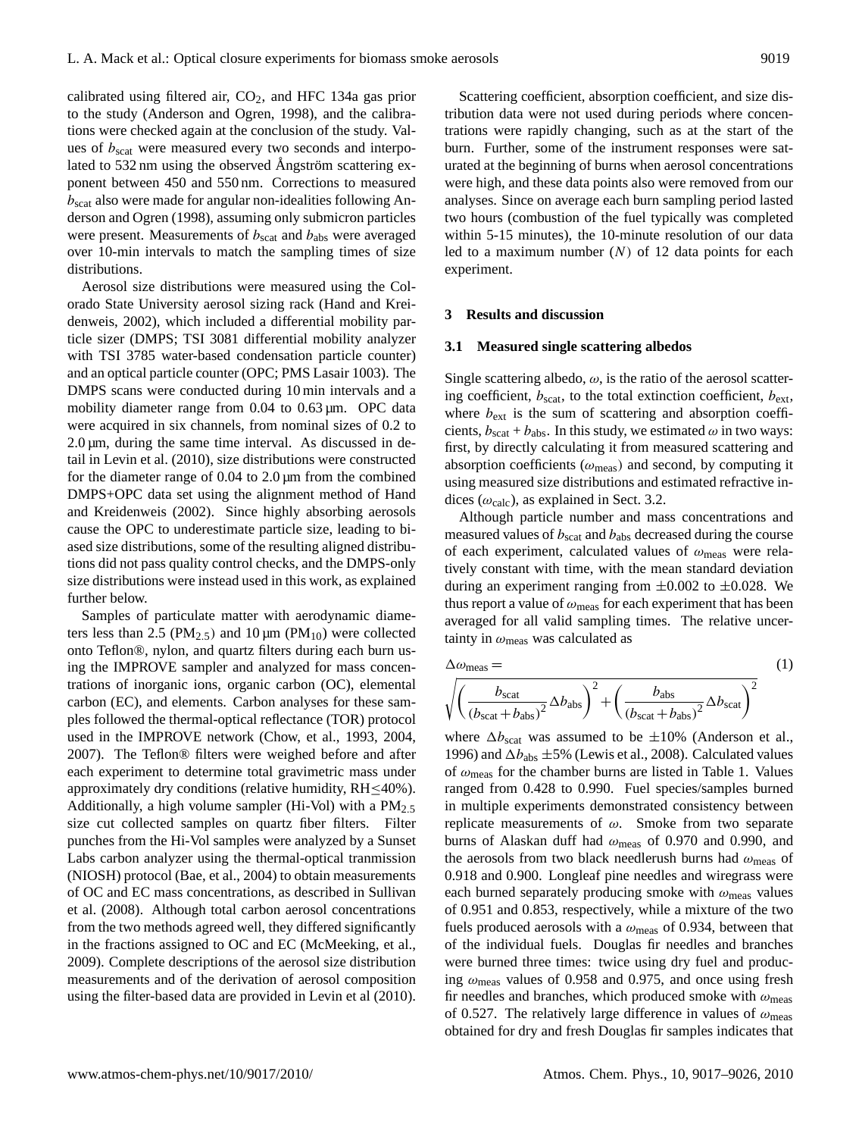calibrated using filtered air,  $CO<sub>2</sub>$ , and HFC 134a gas prior to the study (Anderson and Ogren, 1998), and the calibrations were checked again at the conclusion of the study. Values of  $b_{\text{scat}}$  were measured every two seconds and interpolated to 532 nm using the observed Angström scattering exponent between 450 and 550 nm. Corrections to measured  $b_{\text{scat}}$  also were made for angular non-idealities following Anderson and Ogren (1998), assuming only submicron particles were present. Measurements of  $b_{\text{scat}}$  and  $b_{\text{abs}}$  were averaged over 10-min intervals to match the sampling times of size distributions.

Aerosol size distributions were measured using the Colorado State University aerosol sizing rack (Hand and Kreidenweis, 2002), which included a differential mobility particle sizer (DMPS; TSI 3081 differential mobility analyzer with TSI 3785 water-based condensation particle counter) and an optical particle counter (OPC; PMS Lasair 1003). The DMPS scans were conducted during 10 min intervals and a mobility diameter range from 0.04 to 0.63  $\mu$ m. OPC data were acquired in six channels, from nominal sizes of 0.2 to  $2.0 \,\mu m$ , during the same time interval. As discussed in detail in Levin et al. (2010), size distributions were constructed for the diameter range of 0.04 to 2.0 µm from the combined DMPS+OPC data set using the alignment method of Hand and Kreidenweis (2002). Since highly absorbing aerosols cause the OPC to underestimate particle size, leading to biased size distributions, some of the resulting aligned distributions did not pass quality control checks, and the DMPS-only size distributions were instead used in this work, as explained further below.

Samples of particulate matter with aerodynamic diameters less than 2.5 ( $PM_{2.5}$ ) and 10  $\mu$ m ( $PM_{10}$ ) were collected onto Teflon®, nylon, and quartz filters during each burn using the IMPROVE sampler and analyzed for mass concentrations of inorganic ions, organic carbon (OC), elemental carbon (EC), and elements. Carbon analyses for these samples followed the thermal-optical reflectance (TOR) protocol used in the IMPROVE network (Chow, et al., 1993, 2004, 2007). The Teflon® filters were weighed before and after each experiment to determine total gravimetric mass under approximately dry conditions (relative humidity,  $RH \leq 40\%$ ). Additionally, a high volume sampler (Hi-Vol) with a  $PM_{2.5}$ size cut collected samples on quartz fiber filters. Filter punches from the Hi-Vol samples were analyzed by a Sunset Labs carbon analyzer using the thermal-optical tranmission (NIOSH) protocol (Bae, et al., 2004) to obtain measurements of OC and EC mass concentrations, as described in Sullivan et al. (2008). Although total carbon aerosol concentrations from the two methods agreed well, they differed significantly in the fractions assigned to OC and EC (McMeeking, et al., 2009). Complete descriptions of the aerosol size distribution measurements and of the derivation of aerosol composition using the filter-based data are provided in Levin et al (2010).

Scattering coefficient, absorption coefficient, and size distribution data were not used during periods where concentrations were rapidly changing, such as at the start of the burn. Further, some of the instrument responses were saturated at the beginning of burns when aerosol concentrations were high, and these data points also were removed from our analyses. Since on average each burn sampling period lasted two hours (combustion of the fuel typically was completed within 5-15 minutes), the 10-minute resolution of our data led to a maximum number  $(N)$  of 12 data points for each experiment.

#### **3 Results and discussion**

#### **3.1 Measured single scattering albedos**

Single scattering albedo,  $\omega$ , is the ratio of the aerosol scattering coefficient,  $b_{scat}$ , to the total extinction coefficient,  $b_{ext}$ , where  $b_{\text{ext}}$  is the sum of scattering and absorption coefficients,  $b_{scat} + b_{abs}$ . In this study, we estimated  $\omega$  in two ways: first, by directly calculating it from measured scattering and absorption coefficients ( $\omega_{\text{meas}}$ ) and second, by computing it using measured size distributions and estimated refractive indices ( $\omega_{\text{calc}}$ ), as explained in Sect. 3.2.

Although particle number and mass concentrations and measured values of  $b_{scat}$  and  $b_{abs}$  decreased during the course of each experiment, calculated values of  $\omega_{\text{meas}}$  were relatively constant with time, with the mean standard deviation during an experiment ranging from  $\pm 0.002$  to  $\pm 0.028$ . We thus report a value of  $\omega_{\text{meas}}$  for each experiment that has been averaged for all valid sampling times. The relative uncertainty in  $\omega_{\text{meas}}$  was calculated as

$$
\Delta \omega_{\text{meas}} = \n\sqrt{\left(\frac{b_{\text{scat}}}{(b_{\text{scat}} + b_{\text{abs}})^2} \Delta b_{\text{abs}}\right)^2 + \left(\frac{b_{\text{abs}}}{(b_{\text{scat}} + b_{\text{abs}})^2} \Delta b_{\text{scat}}\right)^2}
$$
\n(1)

where  $\Delta b_{\text{scat}}$  was assumed to be  $\pm 10\%$  (Anderson et al., 1996) and  $\Delta b_{\text{abs}} \pm 5\%$  (Lewis et al., 2008). Calculated values of  $\omega_{\text{meas}}$  for the chamber burns are listed in Table 1. Values ranged from 0.428 to 0.990. Fuel species/samples burned in multiple experiments demonstrated consistency between replicate measurements of  $ω$ . Smoke from two separate burns of Alaskan duff had  $\omega_{\rm meas}$  of 0.970 and 0.990, and the aerosols from two black needlerush burns had  $\omega_{\text{meas}}$  of 0.918 and 0.900. Longleaf pine needles and wiregrass were each burned separately producing smoke with  $\omega_{\text{meas}}$  values of 0.951 and 0.853, respectively, while a mixture of the two fuels produced aerosols with a  $\omega_{\text{meas}}$  of 0.934, between that of the individual fuels. Douglas fir needles and branches were burned three times: twice using dry fuel and producing  $\omega_{\text{meas}}$  values of 0.958 and 0.975, and once using fresh fir needles and branches, which produced smoke with  $\omega_{\text{meas}}$ of 0.527. The relatively large difference in values of  $\omega_{\text{meas}}$ obtained for dry and fresh Douglas fir samples indicates that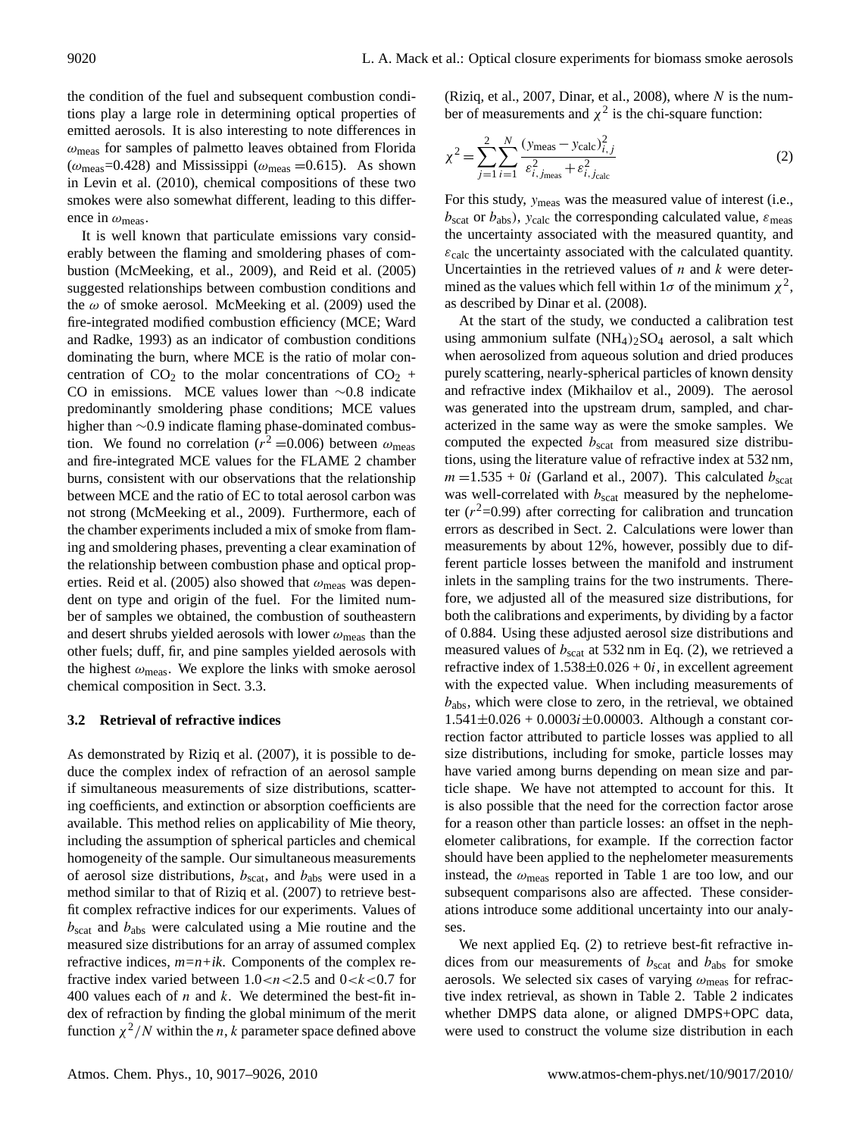the condition of the fuel and subsequent combustion conditions play a large role in determining optical properties of emitted aerosols. It is also interesting to note differences in  $\omega_{\text{meas}}$  for samples of palmetto leaves obtained from Florida  $(\omega_{\text{meas}}=0.428)$  and Mississippi  $(\omega_{\text{meas}}=0.615)$ . As shown in Levin et al. (2010), chemical compositions of these two smokes were also somewhat different, leading to this difference in  $\omega_{\text{meas}}$ .

It is well known that particulate emissions vary considerably between the flaming and smoldering phases of combustion (McMeeking, et al., 2009), and Reid et al. (2005) suggested relationships between combustion conditions and the  $\omega$  of smoke aerosol. McMeeking et al. (2009) used the fire-integrated modified combustion efficiency (MCE; Ward and Radke, 1993) as an indicator of combustion conditions dominating the burn, where MCE is the ratio of molar concentration of  $CO<sub>2</sub>$  to the molar concentrations of  $CO<sub>2</sub>$  + CO in emissions. MCE values lower than ∼0.8 indicate predominantly smoldering phase conditions; MCE values higher than ∼0.9 indicate flaming phase-dominated combustion. We found no correlation ( $r^2$  =0.006) between  $\omega_{\text{meas}}$ and fire-integrated MCE values for the FLAME 2 chamber burns, consistent with our observations that the relationship between MCE and the ratio of EC to total aerosol carbon was not strong (McMeeking et al., 2009). Furthermore, each of the chamber experiments included a mix of smoke from flaming and smoldering phases, preventing a clear examination of the relationship between combustion phase and optical properties. Reid et al. (2005) also showed that  $\omega_{\text{meas}}$  was dependent on type and origin of the fuel. For the limited number of samples we obtained, the combustion of southeastern and desert shrubs yielded aerosols with lower  $\omega_{\text{meas}}$  than the other fuels; duff, fir, and pine samples yielded aerosols with the highest  $\omega_{\text{meas}}$ . We explore the links with smoke aerosol chemical composition in Sect. 3.3.

## **3.2 Retrieval of refractive indices**

As demonstrated by Riziq et al. (2007), it is possible to deduce the complex index of refraction of an aerosol sample if simultaneous measurements of size distributions, scattering coefficients, and extinction or absorption coefficients are available. This method relies on applicability of Mie theory, including the assumption of spherical particles and chemical homogeneity of the sample. Our simultaneous measurements of aerosol size distributions,  $b_{scat}$ , and  $b_{abs}$  were used in a method similar to that of Riziq et al. (2007) to retrieve bestfit complex refractive indices for our experiments. Values of  $b_{\text{scat}}$  and  $b_{\text{abs}}$  were calculated using a Mie routine and the measured size distributions for an array of assumed complex refractive indices, *m=n+ik*. Components of the complex refractive index varied between  $1.0 < n < 2.5$  and  $0 < k < 0.7$  for 400 values each of  $n$  and  $k$ . We determined the best-fit index of refraction by finding the global minimum of the merit function  $\chi^2/N$  within the *n*, *k* parameter space defined above

(Riziq, et al., 2007, Dinar, et al., 2008), where  $N$  is the number of measurements and  $\chi^2$  is the chi-square function:

$$
\chi^{2} = \sum_{j=1}^{2} \sum_{i=1}^{N} \frac{(y_{\text{meas}} - y_{\text{calc}})_{i,j}^{2}}{\varepsilon_{i,j_{\text{meas}}}^{2} + \varepsilon_{i,j_{\text{calc}}}^{2}}
$$
(2)

For this study, ymeas was the measured value of interest (i.e.,  $b_{\text{scat}}$  or  $b_{\text{abs}}$ ), y<sub>calc</sub> the corresponding calculated value,  $\varepsilon_{\text{meas}}$ the uncertainty associated with the measured quantity, and  $\varepsilon_{\text{calc}}$  the uncertainty associated with the calculated quantity. Uncertainties in the retrieved values of  $n$  and  $k$  were determined as the values which fell within  $1\sigma$  of the minimum  $\chi^2$ , as described by Dinar et al. (2008).

At the start of the study, we conducted a calibration test using ammonium sulfate  $(NH_4)_2SO_4$  aerosol, a salt which when aerosolized from aqueous solution and dried produces purely scattering, nearly-spherical particles of known density and refractive index (Mikhailov et al., 2009). The aerosol was generated into the upstream drum, sampled, and characterized in the same way as were the smoke samples. We computed the expected  $b_{scat}$  from measured size distributions, using the literature value of refractive index at 532 nm,  $m = 1.535 + 0i$  (Garland et al., 2007). This calculated  $b_{scat}$ was well-correlated with  $b_{scat}$  measured by the nephelometer  $(r^2=0.99)$  after correcting for calibration and truncation errors as described in Sect. 2. Calculations were lower than measurements by about 12%, however, possibly due to different particle losses between the manifold and instrument inlets in the sampling trains for the two instruments. Therefore, we adjusted all of the measured size distributions, for both the calibrations and experiments, by dividing by a factor of 0.884. Using these adjusted aerosol size distributions and measured values of  $b_{scat}$  at 532 nm in Eq. (2), we retrieved a refractive index of  $1.538 \pm 0.026 + 0i$ , in excellent agreement with the expected value. When including measurements of  $b_{\text{abs}}$ , which were close to zero, in the retrieval, we obtained  $1.541 \pm 0.026 + 0.0003i \pm 0.00003$ . Although a constant correction factor attributed to particle losses was applied to all size distributions, including for smoke, particle losses may have varied among burns depending on mean size and particle shape. We have not attempted to account for this. It is also possible that the need for the correction factor arose for a reason other than particle losses: an offset in the nephelometer calibrations, for example. If the correction factor should have been applied to the nephelometer measurements instead, the  $\omega_{\text{meas}}$  reported in Table 1 are too low, and our subsequent comparisons also are affected. These considerations introduce some additional uncertainty into our analyses.

We next applied Eq. (2) to retrieve best-fit refractive indices from our measurements of  $b_{scat}$  and  $b_{abs}$  for smoke aerosols. We selected six cases of varying  $\omega_{\text{meas}}$  for refractive index retrieval, as shown in Table 2. Table 2 indicates whether DMPS data alone, or aligned DMPS+OPC data, were used to construct the volume size distribution in each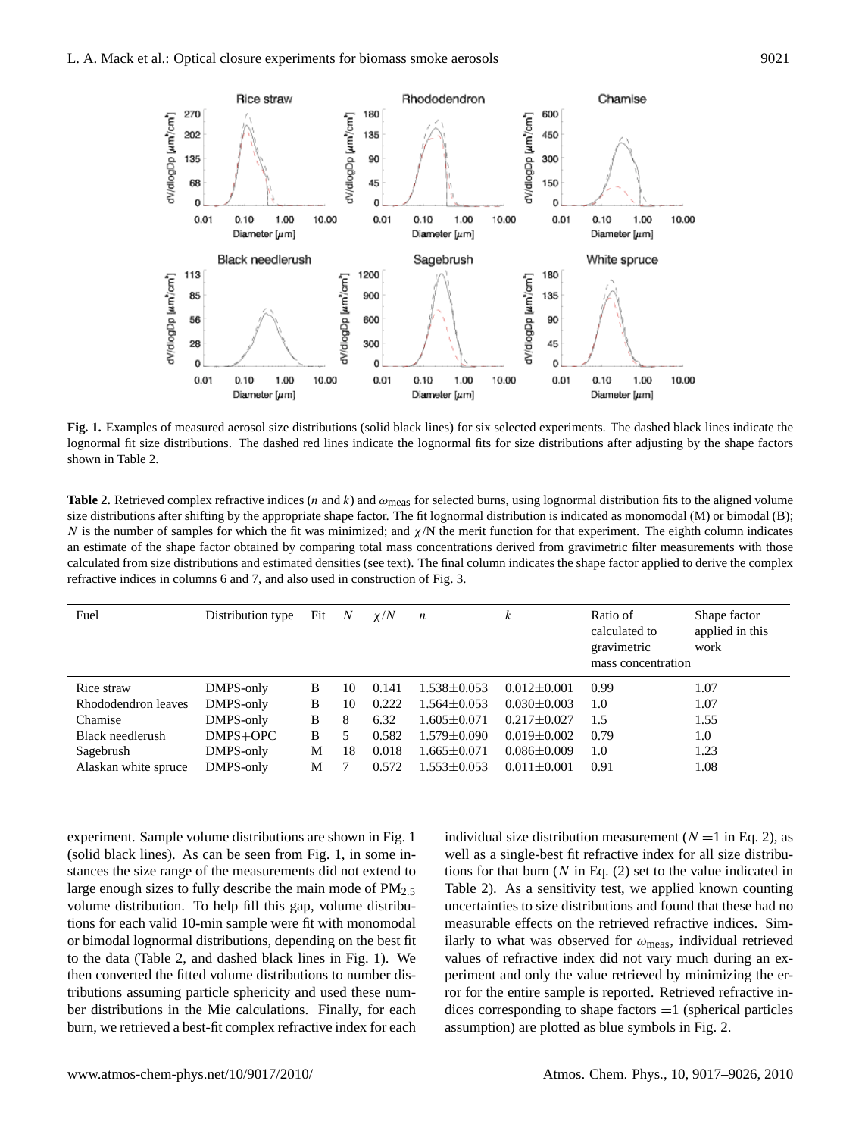

2 **Fig. 1.** Examples of measured aerosol size distributions (solid black lines) for six selected experiments. The dashed black lines indicate the  $1$ able  $2$ . lognormal fit size distributions. The dashed red lines indicate the lognormal fits for size distributions after adjusting by the shape factors shown in Table 2.

**Table 2.** Retrieved complex refractive indices (*n* and *k*) and  $\omega_{\text{meas}}$  for selected burns, using lognormal distribution fits to the aligned volume size distributions after shifting by the appropriate shape factor. The fit lognormal distribution is indicated as monomodal (M) or bimodal (B); an estimate of the shape factor obtained by comparing total mass concentrations derived from gravimetric filter measurements with those 7 refractive indices in columns 6 and 7, and also used in construction of Fig. 3. N is the number of samples for which the fit was minimized; and  $\chi/N$  the merit function for that experiment. The eighth column indicates calculated from size distributions and estimated densities (see text). The final column indicates the shape factor applied to derive the complex

| Fuel                 | Distribution type | Fit | N  | $\chi/N$ | n                 | k                 | Ratio of<br>calculated to<br>gravimetric<br>mass concentration | Shape factor<br>applied in this<br>work |
|----------------------|-------------------|-----|----|----------|-------------------|-------------------|----------------------------------------------------------------|-----------------------------------------|
| Rice straw           | DMPS-only         | B   | 10 | 0.141    | $1.538 \pm 0.053$ | $0.012 \pm 0.001$ | 0.99                                                           | 1.07                                    |
| Rhododendron leaves  | DMPS-only         | В   | 10 | 0.222    | $1.564 \pm 0.053$ | $0.030 \pm 0.003$ | 1.0                                                            | 1.07                                    |
| Chamise              | DMPS-only         | B   | 8  | 6.32     | $1.605 \pm 0.071$ | $0.217 \pm 0.027$ | 1.5                                                            | 1.55                                    |
| Black needlerush     | DMPS+OPC          | В   |    | 0.582    | $1.579 \pm 0.090$ | $0.019 \pm 0.002$ | 0.79                                                           | 1.0                                     |
| Sagebrush            | DMPS-only         | М   | 18 | 0.018    | $1.665 \pm 0.071$ | $0.086 \pm 0.009$ | 1.0                                                            | 1.23                                    |
| Alaskan white spruce | DMPS-only         | М   |    | 0.572    | $1.553 \pm 0.053$ | $0.011 \pm 0.001$ | 0.91                                                           | 1.08                                    |

experiment. Sample volume distributions are shown in Fig. 1 (solid black lines). As can be seen from Fig. 1, in some instances the size range of the measurements did not extend to large enough sizes to fully describe the main mode of  $PM_{2.5}$ volume distribution. To help fill this gap, volume distributions for each valid 10-min sample were fit with monomodal or bimodal lognormal distributions, depending on the best fit to the data (Table 2, and dashed black lines in Fig. 1). We then converted the fitted volume distributions to number distributions assuming particle sphericity and used these number distributions in the Mie calculations. Finally, for each burn, we retrieved a best-fit complex refractive index for each

Table 2). As a sensitivity test, we applied known counting individual size distribution measurement ( $N = 1$  in Eq. 2), as well as a single-best fit refractive index for all size distributions for that burn  $(N \text{ in Eq. (2)})$  set to the value indicated in uncertainties to size distributions and found that these had no measurable effects on the retrieved refractive indices. Similarly to what was observed for  $\omega_{\rm meas}$ , individual retrieved values of refractive index did not vary much during an experiment and only the value retrieved by minimizing the error for the entire sample is reported. Retrieved refractive indices corresponding to shape factors  $=1$  (spherical particles assumption) are plotted as blue symbols in Fig. 2.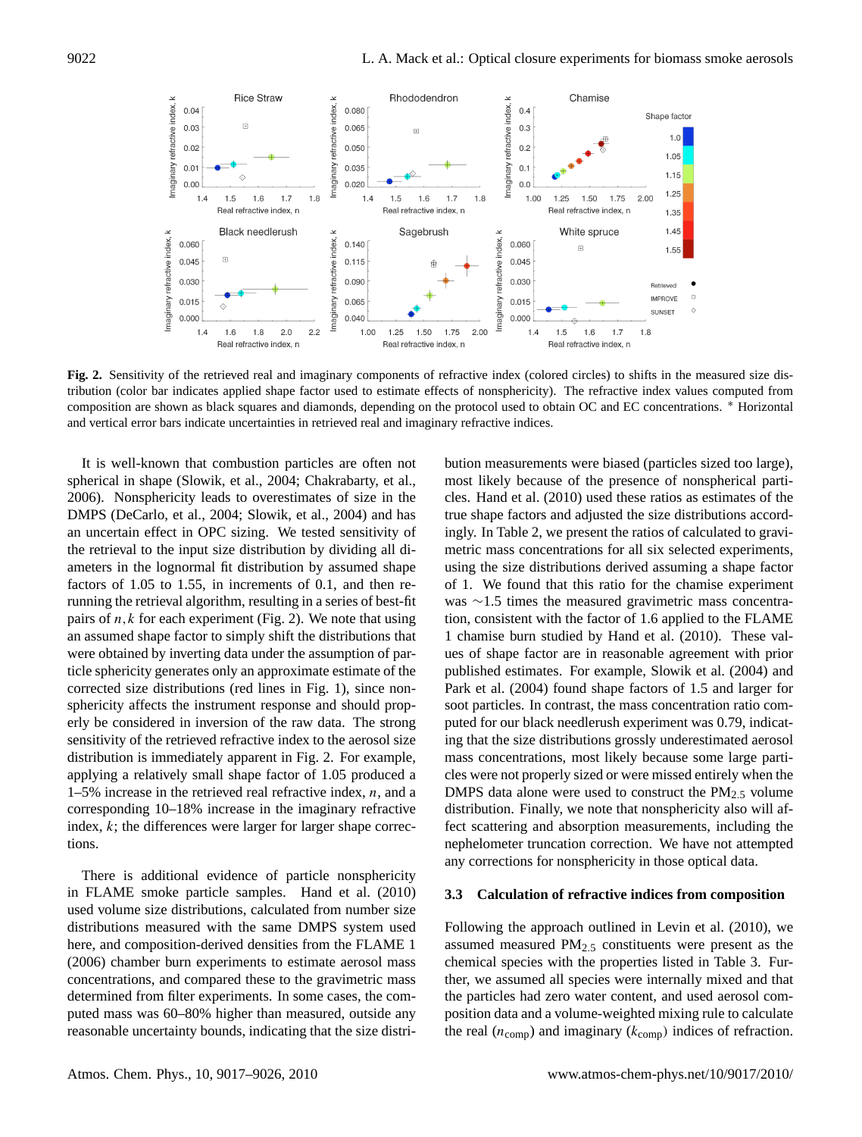

3 tribution (color bar indicates applied shape factor used to estimate effects of nonsphericity). The refractive index values computed from and vertical error bars indicate uncertainties in retrieved real and imaginary refractive indices. **Fig. 2.** Sensitivity of the retrieved real and imaginary components of refractive index (colored circles) to shifts in the measured size discomposition are shown as black squares and diamonds, depending on the protocol used to obtain OC and EC concentrations. <sup>∗</sup> Horizontal

for the refraction of the refraction particles are often not to call most likely because of the presence of nonspherical in shape (Slowik, et al., 2004; Chakrabarty, et al., most likely because of the presence of nonsp  $2006$ ). Nonsphericity leads to overestimates of size in the cles. Hand et al.  $(2010)$  used these ratios as est BMT S (Decarto, et al., 2004, Slowik, et al., 2004) and has<br>an uncertain effect in OPC sizing. We tested sensitivity of the retrieval to the input size distribution by dividing all di-It is well-known that combustion particles are often not DMPS (DeCarlo, et al., 2004; Slowik, et al., 2004) and has ameters in the lognormal fit distribution by assumed shape factors of 1.05 to 1.55, in increments of 0.1, and then rerunning the retrieval algorithm, resulting in a series of best-fit pairs of  $n, k$  for each experiment (Fig. 2). We note that using an assumed shape factor to simply shift the distributions that were obtained by inverting data under the assumption of particle sphericity generates only an approximate estimate of the corrected size distributions (red lines in Fig. 1), since nonsphericity affects the instrument response and should properly be considered in inversion of the raw data. The strong sensitivity of the retrieved refractive index to the aerosol size distribution is immediately apparent in Fig. 2. For example, applying a relatively small shape factor of 1.05 produced a  $1-5\%$  increase in the retrieved real refractive index, n, and a corresponding 10–18% increase in the imaginary refractive index,  $k$ ; the differences were larger for larger shape corrections.

There is additional evidence of particle nonsphericity in FLAME smoke particle samples. Hand et al. (2010) used volume size distributions, calculated from number size distributions measured with the same DMPS system used here, and composition-derived densities from the FLAME 1 (2006) chamber burn experiments to estimate aerosol mass concentrations, and compared these to the gravimetric mass determined from filter experiments. In some cases, the computed mass was 60–80% higher than measured, outside any reasonable uncertainty bounds, indicating that the size distri-

nephelometer truncation correction. We have not attempted bution measurements were biased (particles sized too large), most likely because of the presence of nonspherical particles. Hand et al. (2010) used these ratios as estimates of the true shape factors and adjusted the size distributions accordingly. In Table 2, we present the ratios of calculated to gravimetric mass concentrations for all six selected experiments, using the size distributions derived assuming a shape factor of 1. We found that this ratio for the chamise experiment was ∼1.5 times the measured gravimetric mass concentration, consistent with the factor of 1.6 applied to the FLAME 1 chamise burn studied by Hand et al. (2010). These values of shape factor are in reasonable agreement with prior published estimates. For example, Slowik et al. (2004) and Park et al. (2004) found shape factors of 1.5 and larger for soot particles. In contrast, the mass concentration ratio computed for our black needlerush experiment was 0.79, indicating that the size distributions grossly underestimated aerosol mass concentrations, most likely because some large particles were not properly sized or were missed entirely when the DMPS data alone were used to construct the  $PM_{2.5}$  volume distribution. Finally, we note that nonsphericity also will affect scattering and absorption measurements, including the any corrections for nonsphericity in those optical data.

#### **3.3 Calculation of refractive indices from composition**

Following the approach outlined in Levin et al. (2010), we assumed measured  $PM<sub>2.5</sub>$  constituents were present as the chemical species with the properties listed in Table 3. Further, we assumed all species were internally mixed and that the particles had zero water content, and used aerosol composition data and a volume-weighted mixing rule to calculate the real  $(n_{\text{comp}})$  and imaginary  $(k_{\text{comp}})$  indices of refraction.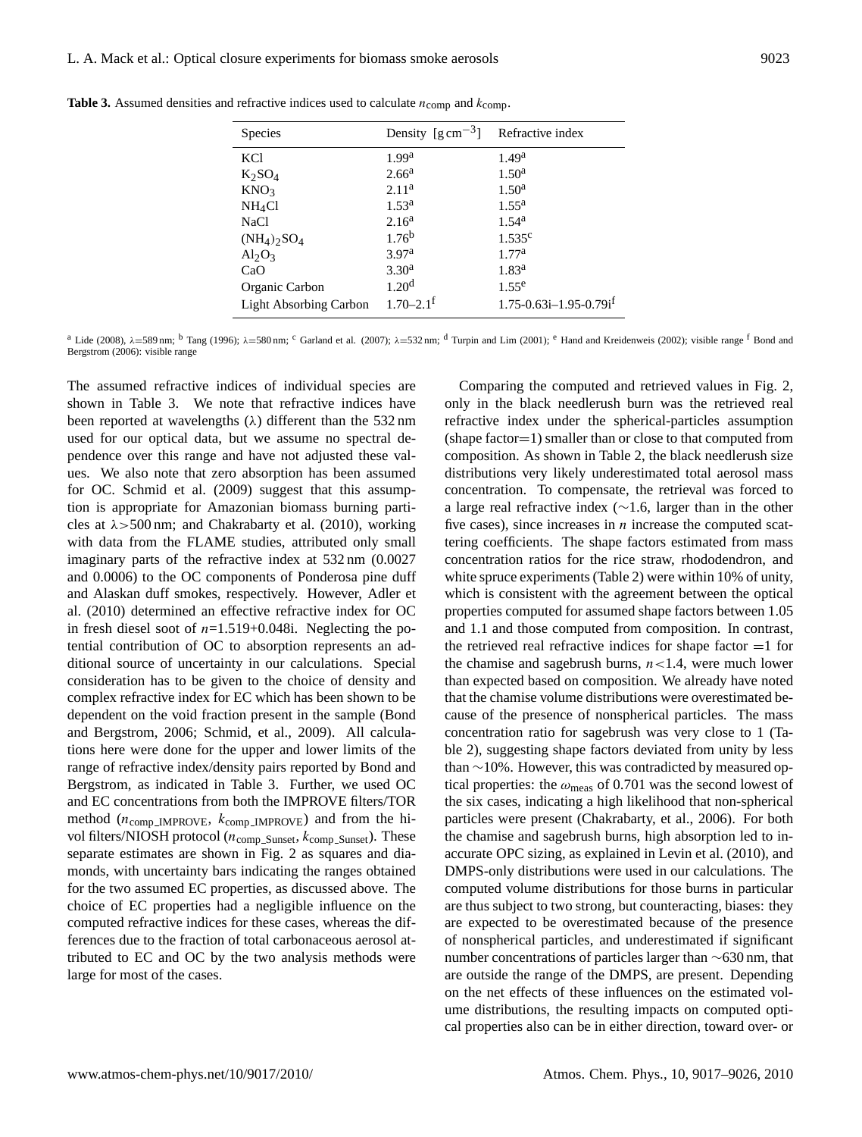| <b>Species</b>                        | Density $\left[\text{g cm}^{-3}\right]$ Refractive index |                                            |
|---------------------------------------|----------------------------------------------------------|--------------------------------------------|
| <b>KCl</b>                            | 1.99 <sup>a</sup>                                        | 1.49 <sup>a</sup>                          |
| $K_2SO_4$                             | 2.66 <sup>a</sup>                                        | 1.50 <sup>a</sup>                          |
| KNO <sub>3</sub>                      | 2.11 <sup>a</sup>                                        | 1.50 <sup>a</sup>                          |
| NH <sub>4</sub> Cl                    | $1.53^{\rm a}$                                           | $1.55^{\rm a}$                             |
| <b>NaCl</b>                           | 2.16 <sup>a</sup>                                        | $1.54^{\rm a}$                             |
| $(NH_4)$ <sub>2</sub> SO <sub>4</sub> | $1.76^{b}$                                               | $1.535^c$                                  |
| $Al_2O_3$                             | 3.97 <sup>a</sup>                                        | 1.77 <sup>a</sup>                          |
| CaO                                   | 3.30 <sup>a</sup>                                        | $1.83^{\rm a}$                             |
| Organic Carbon                        | 1.20 <sup>d</sup>                                        | $1.55^e$                                   |
| <b>Light Absorbing Carbon</b>         | $1.70 - 2.1$ <sup>f</sup>                                | $1.75 - 0.63i - 1.95 - 0.79i$ <sup>f</sup> |

**Table 3.** Assumed densities and refractive indices used to calculate  $n_{\text{comp}}$  and  $k_{\text{comp}}$ .

<sup>a</sup> Lide (2008),  $\lambda$ =589 nm; <sup>b</sup> Tang (1996);  $\lambda$ =580 nm; <sup>c</sup> Garland et al. (2007);  $\lambda$ =532 nm; <sup>d</sup> Turpin and Lim (2001); <sup>e</sup> Hand and Kreidenweis (2002); visible range <sup>f</sup> Bond and Bergstrom (2006): visible range

The assumed refractive indices of individual species are shown in Table 3. We note that refractive indices have been reported at wavelengths  $(\lambda)$  different than the 532 nm used for our optical data, but we assume no spectral dependence over this range and have not adjusted these values. We also note that zero absorption has been assumed for OC. Schmid et al. (2009) suggest that this assumption is appropriate for Amazonian biomass burning particles at  $\lambda$  > 500 nm; and Chakrabarty et al. (2010), working with data from the FLAME studies, attributed only small imaginary parts of the refractive index at 532 nm (0.0027 and 0.0006) to the OC components of Ponderosa pine duff and Alaskan duff smokes, respectively. However, Adler et al. (2010) determined an effective refractive index for OC in fresh diesel soot of  $n=1.519+0.048i$ . Neglecting the potential contribution of OC to absorption represents an additional source of uncertainty in our calculations. Special consideration has to be given to the choice of density and complex refractive index for EC which has been shown to be dependent on the void fraction present in the sample (Bond and Bergstrom, 2006; Schmid, et al., 2009). All calculations here were done for the upper and lower limits of the range of refractive index/density pairs reported by Bond and Bergstrom, as indicated in Table 3. Further, we used OC and EC concentrations from both the IMPROVE filters/TOR method ( $n_{\text{comp\_IMPROVE}}$ ,  $k_{\text{comp\_IMPROVE}}$ ) and from the hivol filters/NIOSH protocol ( $n_{\text{comp\_Sunset}}$ ,  $k_{\text{comp\_Sunset}}$ ). These separate estimates are shown in Fig. 2 as squares and diamonds, with uncertainty bars indicating the ranges obtained for the two assumed EC properties, as discussed above. The choice of EC properties had a negligible influence on the computed refractive indices for these cases, whereas the differences due to the fraction of total carbonaceous aerosol attributed to EC and OC by the two analysis methods were large for most of the cases.

Comparing the computed and retrieved values in Fig. 2, only in the black needlerush burn was the retrieved real refractive index under the spherical-particles assumption (shape factor=1) smaller than or close to that computed from composition. As shown in Table 2, the black needlerush size distributions very likely underestimated total aerosol mass concentration. To compensate, the retrieval was forced to a large real refractive index (∼1.6, larger than in the other five cases), since increases in  $n$  increase the computed scattering coefficients. The shape factors estimated from mass concentration ratios for the rice straw, rhododendron, and white spruce experiments (Table 2) were within 10% of unity, which is consistent with the agreement between the optical properties computed for assumed shape factors between 1.05 and 1.1 and those computed from composition. In contrast, the retrieved real refractive indices for shape factor  $=1$  for the chamise and sagebrush burns,  $n < 1.4$ , were much lower than expected based on composition. We already have noted that the chamise volume distributions were overestimated because of the presence of nonspherical particles. The mass concentration ratio for sagebrush was very close to 1 (Table 2), suggesting shape factors deviated from unity by less than ∼10%. However, this was contradicted by measured optical properties: the  $\omega_{\text{meas}}$  of 0.701 was the second lowest of the six cases, indicating a high likelihood that non-spherical particles were present (Chakrabarty, et al., 2006). For both the chamise and sagebrush burns, high absorption led to inaccurate OPC sizing, as explained in Levin et al. (2010), and DMPS-only distributions were used in our calculations. The computed volume distributions for those burns in particular are thus subject to two strong, but counteracting, biases: they are expected to be overestimated because of the presence of nonspherical particles, and underestimated if significant number concentrations of particles larger than ∼630 nm, that are outside the range of the DMPS, are present. Depending on the net effects of these influences on the estimated volume distributions, the resulting impacts on computed optical properties also can be in either direction, toward over- or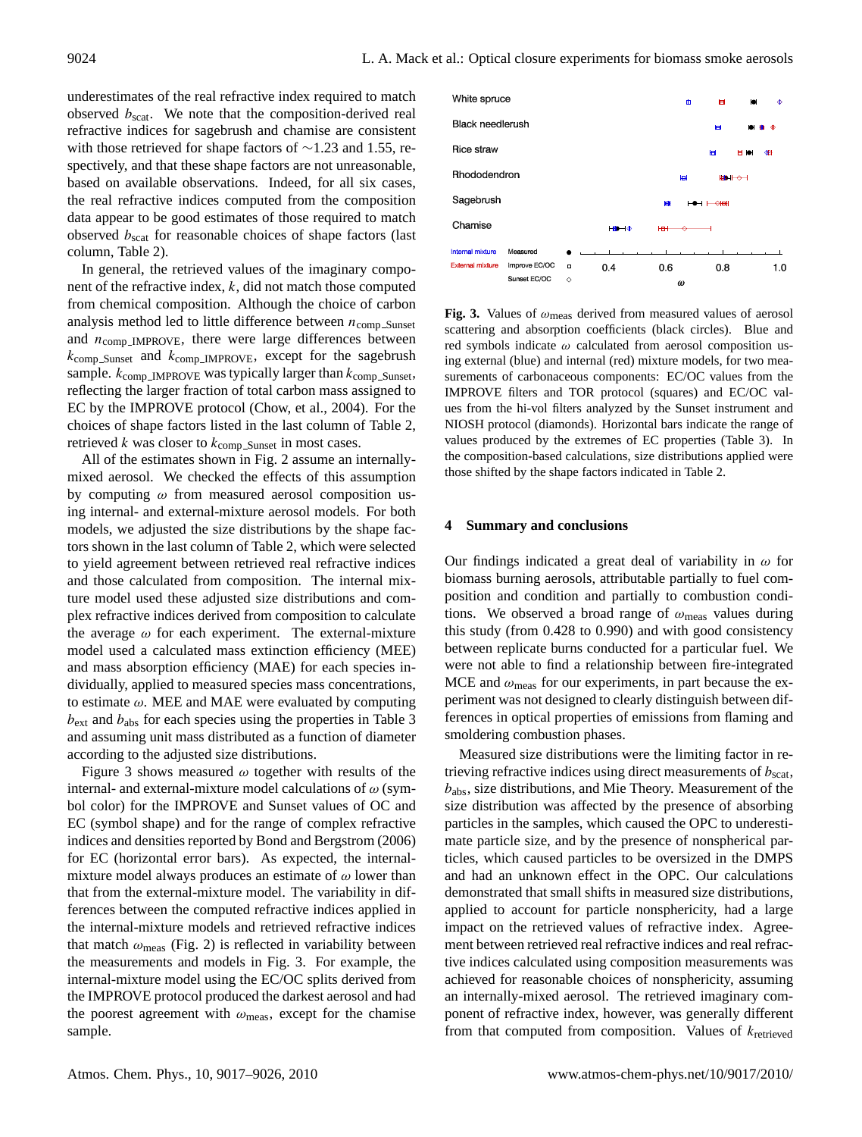underestimates of the real refractive index required to match observed  $b_{scat}$ . We note that the composition-derived real refractive indices for sagebrush and chamise are consistent with those retrieved for shape factors of ∼1.23 and 1.55, respectively, and that these shape factors are not unreasonable, based on available observations. Indeed, for all six cases, the real refractive indices computed from the composition data appear to be good estimates of those required to match observed  $b_{scat}$  for reasonable choices of shape factors (last column, Table 2).

In general, the retrieved values of the imaginary component of the refractive index, k, did not match those computed from chemical composition. Although the choice of carbon analysis method led to little difference between  $n_{\text{comn-Sunset}}$ and  $n_{\text{comp\_IMPROVE}}$ , there were large differences between  $k_{\text{comp\_Sunset}}$  and  $k_{\text{comp\_MPPROVE}}$ , except for the sagebrush sample.  $k_{\text{comp\_IMPROVE}}$  was typically larger than  $k_{\text{comp\_Sunset}}$ , reflecting the larger fraction of total carbon mass assigned to EC by the IMPROVE protocol (Chow, et al., 2004). For the choices of shape factors listed in the last column of Table 2, retrieved  $k$  was closer to  $k_{\text{comp\_Sunset}}$  in most cases.

All of the estimates shown in Fig. 2 assume an internallymixed aerosol. We checked the effects of this assumption by computing  $\omega$  from measured aerosol composition using internal- and external-mixture aerosol models. For both models, we adjusted the size distributions by the shape factors shown in the last column of Table 2, which were selected to yield agreement between retrieved real refractive indices and those calculated from composition. The internal mixture model used these adjusted size distributions and complex refractive indices derived from composition to calculate the average  $\omega$  for each experiment. The external-mixture model used a calculated mass extinction efficiency (MEE) and mass absorption efficiency (MAE) for each species individually, applied to measured species mass concentrations, to estimate  $\omega$ . MEE and MAE were evaluated by computing  $b_{\text{ext}}$  and  $b_{\text{abs}}$  for each species using the properties in Table 3 and assuming unit mass distributed as a function of diameter according to the adjusted size distributions.

Figure 3 shows measured  $\omega$  together with results of the internal- and external-mixture model calculations of  $\omega$  (symbol color) for the IMPROVE and Sunset values of OC and EC (symbol shape) and for the range of complex refractive indices and densities reported by Bond and Bergstrom (2006) for EC (horizontal error bars). As expected, the internalmixture model always produces an estimate of  $\omega$  lower than that from the external-mixture model. The variability in differences between the computed refractive indices applied in the internal-mixture models and retrieved refractive indices that match  $\omega_{\text{meas}}$  (Fig. 2) is reflected in variability between the measurements and models in Fig. 3. For example, the internal-mixture model using the EC/OC splits derived from the IMPROVE protocol produced the darkest aerosol and had the poorest agreement with  $\omega_{\text{meas}}$ , except for the chamise sample.



**Fig. 3.** Values of  $\omega_{\text{meas}}$  derived from measured values of aerosol scattering and absorption coefficients (black circles). Blue and red symbols indicate  $\omega$  calculated from aerosol composition using external (blue) and internal (red) mixture models, for two measurements of carbonaceous components: EC/OC values from the IMPROVE filters and TOR protocol (squares) and EC/OC values from the hi-vol filters analyzed by the Sunset instrument and NIOSH protocol (diamonds). Horizontal bars indicate the range of values produced by the extremes of EC properties (Table 3). In the composition-based calculations, size distributions applied were those shifted by the shape factors indicated in Table 2.

#### **4 Summary and conclusions**

Our findings indicated a great deal of variability in  $\omega$  for biomass burning aerosols, attributable partially to fuel composition and condition and partially to combustion conditions. We observed a broad range of  $\omega_{\text{meas}}$  values during this study (from 0.428 to 0.990) and with good consistency between replicate burns conducted for a particular fuel. We were not able to find a relationship between fire-integrated MCE and  $\omega_{\text{meas}}$  for our experiments, in part because the experiment was not designed to clearly distinguish between differences in optical properties of emissions from flaming and smoldering combustion phases.

Measured size distributions were the limiting factor in retrieving refractive indices using direct measurements of  $b_{scat}$ ,  $b_{\text{abs}}$ , size distributions, and Mie Theory. Measurement of the size distribution was affected by the presence of absorbing particles in the samples, which caused the OPC to underestimate particle size, and by the presence of nonspherical particles, which caused particles to be oversized in the DMPS and had an unknown effect in the OPC. Our calculations demonstrated that small shifts in measured size distributions, applied to account for particle nonsphericity, had a large impact on the retrieved values of refractive index. Agreement between retrieved real refractive indices and real refractive indices calculated using composition measurements was achieved for reasonable choices of nonsphericity, assuming an internally-mixed aerosol. The retrieved imaginary component of refractive index, however, was generally different from that computed from composition. Values of  $k_{\text{retrieved}}$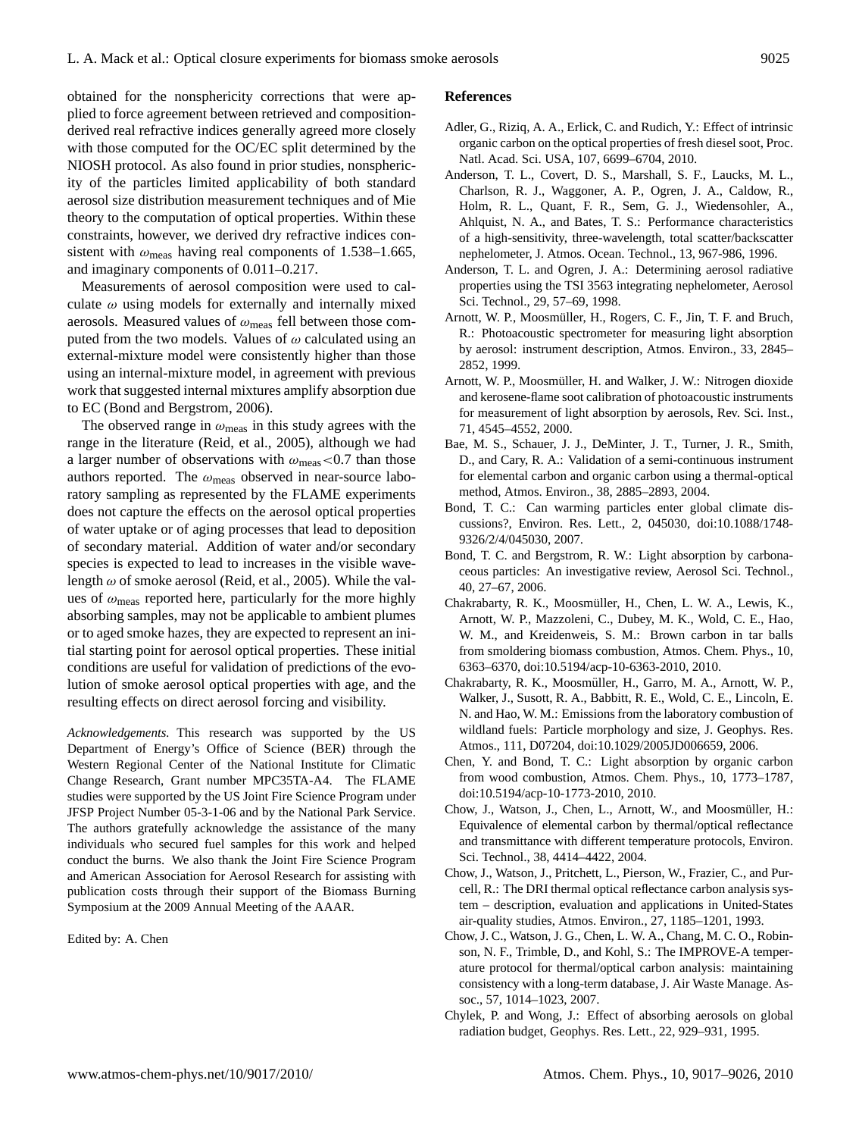obtained for the nonsphericity corrections that were applied to force agreement between retrieved and compositionderived real refractive indices generally agreed more closely with those computed for the OC/EC split determined by the NIOSH protocol. As also found in prior studies, nonsphericity of the particles limited applicability of both standard aerosol size distribution measurement techniques and of Mie theory to the computation of optical properties. Within these constraints, however, we derived dry refractive indices consistent with  $\omega_{\text{meas}}$  having real components of 1.538–1.665, and imaginary components of 0.011–0.217.

Measurements of aerosol composition were used to calculate  $\omega$  using models for externally and internally mixed aerosols. Measured values of  $\omega_{\text{meas}}$  fell between those computed from the two models. Values of  $\omega$  calculated using an external-mixture model were consistently higher than those using an internal-mixture model, in agreement with previous work that suggested internal mixtures amplify absorption due to EC (Bond and Bergstrom, 2006).

The observed range in  $\omega_{\text{meas}}$  in this study agrees with the range in the literature (Reid, et al., 2005), although we had a larger number of observations with  $\omega_{\text{meas}}$  <0.7 than those authors reported. The  $\omega_{\text{meas}}$  observed in near-source laboratory sampling as represented by the FLAME experiments does not capture the effects on the aerosol optical properties of water uptake or of aging processes that lead to deposition of secondary material. Addition of water and/or secondary species is expected to lead to increases in the visible wavelength  $\omega$  of smoke aerosol (Reid, et al., 2005). While the values of  $\omega_{\text{meas}}$  reported here, particularly for the more highly absorbing samples, may not be applicable to ambient plumes or to aged smoke hazes, they are expected to represent an initial starting point for aerosol optical properties. These initial conditions are useful for validation of predictions of the evolution of smoke aerosol optical properties with age, and the resulting effects on direct aerosol forcing and visibility.

*Acknowledgements.* This research was supported by the US Department of Energy's Office of Science (BER) through the Western Regional Center of the National Institute for Climatic Change Research, Grant number MPC35TA-A4. The FLAME studies were supported by the US Joint Fire Science Program under JFSP Project Number 05-3-1-06 and by the National Park Service. The authors gratefully acknowledge the assistance of the many individuals who secured fuel samples for this work and helped conduct the burns. We also thank the Joint Fire Science Program and American Association for Aerosol Research for assisting with publication costs through their support of the Biomass Burning Symposium at the 2009 Annual Meeting of the AAAR.

Edited by: A. Chen

#### **References**

- Adler, G., Riziq, A. A., Erlick, C. and Rudich, Y.: Effect of intrinsic organic carbon on the optical properties of fresh diesel soot, Proc. Natl. Acad. Sci. USA, 107, 6699–6704, 2010.
- Anderson, T. L., Covert, D. S., Marshall, S. F., Laucks, M. L., Charlson, R. J., Waggoner, A. P., Ogren, J. A., Caldow, R., Holm, R. L., Quant, F. R., Sem, G. J., Wiedensohler, A., Ahlquist, N. A., and Bates, T. S.: Performance characteristics of a high-sensitivity, three-wavelength, total scatter/backscatter nephelometer, J. Atmos. Ocean. Technol., 13, 967-986, 1996.
- Anderson, T. L. and Ogren, J. A.: Determining aerosol radiative properties using the TSI 3563 integrating nephelometer, Aerosol Sci. Technol., 29, 57–69, 1998.
- Arnott, W. P., Moosmüller, H., Rogers, C. F., Jin, T. F. and Bruch, R.: Photoacoustic spectrometer for measuring light absorption by aerosol: instrument description, Atmos. Environ., 33, 2845– 2852, 1999.
- Arnott, W. P., Moosmüller, H. and Walker, J. W.: Nitrogen dioxide and kerosene-flame soot calibration of photoacoustic instruments for measurement of light absorption by aerosols, Rev. Sci. Inst., 71, 4545–4552, 2000.
- Bae, M. S., Schauer, J. J., DeMinter, J. T., Turner, J. R., Smith, D., and Cary, R. A.: Validation of a semi-continuous instrument for elemental carbon and organic carbon using a thermal-optical method, Atmos. Environ., 38, 2885–2893, 2004.
- Bond, T. C.: Can warming particles enter global climate discussions?, Environ. Res. Lett., 2, 045030, doi:10.1088/1748- 9326/2/4/045030, 2007.
- Bond, T. C. and Bergstrom, R. W.: Light absorption by carbonaceous particles: An investigative review, Aerosol Sci. Technol., 40, 27–67, 2006.
- Chakrabarty, R. K., Moosmüller, H., Chen, L. W. A., Lewis, K., Arnott, W. P., Mazzoleni, C., Dubey, M. K., Wold, C. E., Hao, W. M., and Kreidenweis, S. M.: Brown carbon in tar balls from smoldering biomass combustion, Atmos. Chem. Phys., 10, 6363–6370, doi:10.5194/acp-10-6363-2010, 2010.
- Chakrabarty, R. K., Moosmüller, H., Garro, M. A., Arnott, W. P., Walker, J., Susott, R. A., Babbitt, R. E., Wold, C. E., Lincoln, E. N. and Hao, W. M.: Emissions from the laboratory combustion of wildland fuels: Particle morphology and size, J. Geophys. Res. Atmos., 111, D07204, doi:10.1029/2005JD006659, 2006.
- Chen, Y. and Bond, T. C.: Light absorption by organic carbon from wood combustion, Atmos. Chem. Phys., 10, 1773–1787, doi:10.5194/acp-10-1773-2010, 2010.
- Chow, J., Watson, J., Chen, L., Arnott, W., and Moosmüller, H.: Equivalence of elemental carbon by thermal/optical reflectance and transmittance with different temperature protocols, Environ. Sci. Technol., 38, 4414–4422, 2004.
- Chow, J., Watson, J., Pritchett, L., Pierson, W., Frazier, C., and Purcell, R.: The DRI thermal optical reflectance carbon analysis system – description, evaluation and applications in United-States air-quality studies, Atmos. Environ., 27, 1185–1201, 1993.
- Chow, J. C., Watson, J. G., Chen, L. W. A., Chang, M. C. O., Robinson, N. F., Trimble, D., and Kohl, S.: The IMPROVE-A temperature protocol for thermal/optical carbon analysis: maintaining consistency with a long-term database, J. Air Waste Manage. Assoc., 57, 1014–1023, 2007.
- Chylek, P. and Wong, J.: Effect of absorbing aerosols on global radiation budget, Geophys. Res. Lett., 22, 929–931, 1995.